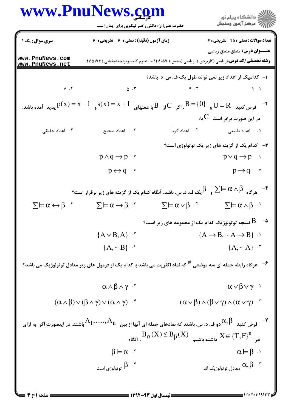|                                                 | حضرت علی(ع): دانش راهبر نیکویی برای ایمان است                                                                                                                                                           |                                                                                                | ر<br>دانشڪاه پيام نور)<br>سرڪز آزمون وسنڊش                                     |
|-------------------------------------------------|---------------------------------------------------------------------------------------------------------------------------------------------------------------------------------------------------------|------------------------------------------------------------------------------------------------|--------------------------------------------------------------------------------|
| <b>سری سوال :</b> یک ۱                          | <b>زمان آزمون (دقیقه) : تستی : 60 ٪ تشریحی : 60</b>                                                                                                                                                     |                                                                                                | <b>تعداد سوالات : تستی : 25 - تشریحی : 4</b>                                   |
| www.PnuNews.com<br>www.PnuNews.net              | <b>رشته تحصیلی/کد درس: ریاضی (کاربردی )، ریاضی (محض ) ۵۷(۱۱۱۱۰ - ، علوم کامپیوتر(چندبخشی )۱۱۱۵۱۷۳</b>                                                                                                   |                                                                                                | <b>عنـــوان درس:</b> منطق،منطق ریاضی                                           |
|                                                 |                                                                                                                                                                                                         | ا– کدامیک از اعداد زیر نمی تواند طول یک ف. س. د. باشد؟                                         |                                                                                |
|                                                 | $\gamma$ . F $\qquad \qquad \Delta$ . T                                                                                                                                                                 |                                                                                                | $\gamma$ . T                                                                   |
|                                                 | فرض كنيد $\mathrm{H}=\mathrm{R}$ و $\mathrm{B}=\mathrm{R}$ . اگر $\mathrm{C}$ با عملهای $\mathrm{X}+\mathrm{X}=\mathrm{S}$ و $\mathrm{D}=\mathrm{X}+\mathrm{R}$ پدید آمده باشد. $\mathrm{H}=\mathrm{R}$ |                                                                                                |                                                                                |
|                                                 |                                                                                                                                                                                                         |                                                                                                | در این صورت برابر است $\,{\bf C}\,$ با:                                        |
| ۰۴ اعداد حقیقی                                  | ۰۳ - اعداد صحیح                                                                                                                                                                                         |                                                                                                | <b>۱.</b> اعداد طبیعی مسلم ۲. اعداد گویا                                       |
|                                                 | <b>۳</b> - کدام یک از گزینه های زیر یک توتولوژی است؟                                                                                                                                                    |                                                                                                |                                                                                |
|                                                 | $p \wedge q \rightarrow p$ .                                                                                                                                                                            |                                                                                                | $p \vee q \rightarrow p$ .                                                     |
|                                                 | $p \leftrightarrow q$ .                                                                                                                                                                                 |                                                                                                | $p \rightarrow q$ .                                                            |
|                                                 | یک ف. د. س. باشد. آنگاه کدام یک از گزینه های زیر برقرار است؟ $\beta$                                                                                                                                    |                                                                                                | $\sum_{\mathbf{a}} \mathbf{b} = \alpha \wedge \beta$ هرگاه                     |
| $\Sigma \vDash \alpha \leftrightarrow \beta$ if | $\sum$ $\models \alpha \rightarrow \beta$ $\cdot$                                                                                                                                                       | $\Sigma \vDash \alpha \vee \beta$ <sup>T</sup>                                                 | $\Sigma \vDash \alpha \wedge \beta$ <sup>.1</sup>                              |
|                                                 |                                                                                                                                                                                                         |                                                                                                | $\,$ ۰۵ - $\,$ لتیجه توتولوژیک کدام یک از مجموعه های زیر است $\,$ ۶ - $\,$     |
|                                                 | ${A \vee B, A}$ .                                                                                                                                                                                       |                                                                                                | ${A \rightarrow B, \sim A \rightarrow B}$ .                                    |
|                                                 | ${A, \sim B}$ $\cdot$                                                                                                                                                                                   |                                                                                                | ${A, \sim A}$ $\cdot$                                                          |
|                                                 | <sup>9-</sup> هرگاه رابطه جمله ای سه موضعی <sup>#</sup> که نماد اکثریت می باشد با کدام یک از فرمول های زیر معادل توتولوژیک می باشد؟                                                                     |                                                                                                |                                                                                |
|                                                 | $\alpha \wedge \beta \wedge \gamma$ .                                                                                                                                                                   |                                                                                                | $\alpha \vee \beta \vee \gamma$ <sup>.1</sup>                                  |
|                                                 | $(\alpha \wedge \beta) \vee (\beta \wedge \gamma) \vee (\alpha \wedge \gamma)$ f                                                                                                                        |                                                                                                | $(\alpha \vee \beta) \wedge (\beta \vee \gamma) \wedge (\alpha \vee \gamma)$ . |
|                                                 | ـ<br>وف کنیده $\beta$ دو ف. د. س. باشند که نمادهای جمله ای آنها از بین $A_1,,A_n$ باشند. در اینصورت اگر به ازای (G) که نمادهای جمله ای آنها از بین $A_1,,A_n$                                           | $B_{\alpha}(X) \leq B_{\beta}(X)$ هر $X \in \{T, F\}^n$ داشته باشیم $X \in \{T, F\}^n$ . آنگاه |                                                                                |
|                                                 | $\beta \models \alpha$ .                                                                                                                                                                                |                                                                                                | $\alpha \models \beta \neg$                                                    |
|                                                 | ۰۴ $\beta$ توتولوژی است $\beta$                                                                                                                                                                         |                                                                                                | معادل توتولوژیک اند $\alpha,\beta$ . ۳                                         |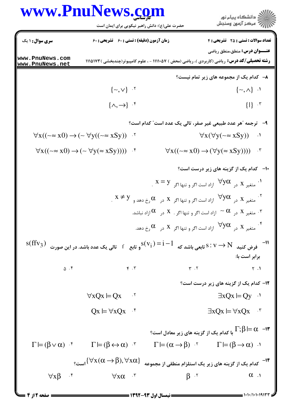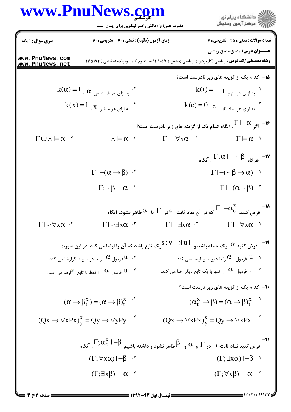